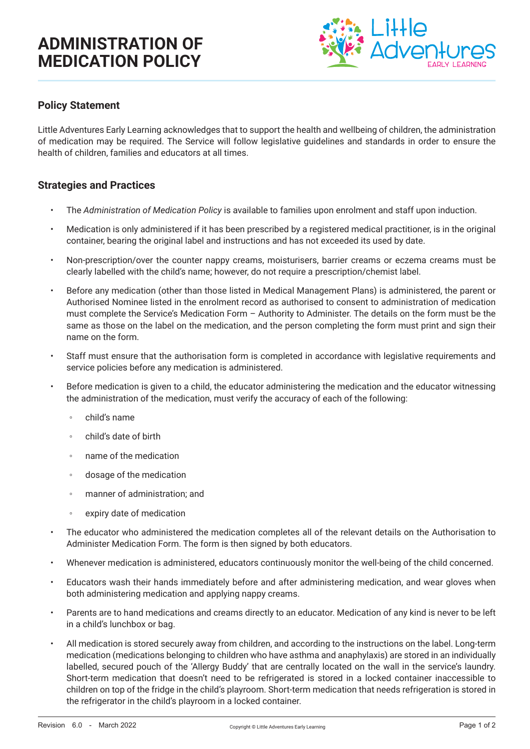## **ADMINISTRATION OF MEDICATION POLICY**



### **Policy Statement**

Little Adventures Early Learning acknowledges that to support the health and wellbeing of children, the administration of medication may be required. The Service will follow legislative guidelines and standards in order to ensure the health of children, families and educators at all times.

#### **Strategies and Practices**

- The *Administration of Medication Policy* is available to families upon enrolment and staff upon induction.
- Medication is only administered if it has been prescribed by a registered medical practitioner, is in the original container, bearing the original label and instructions and has not exceeded its used by date.
- Non-prescription/over the counter nappy creams, moisturisers, barrier creams or eczema creams must be clearly labelled with the child's name; however, do not require a prescription/chemist label.
- Before any medication (other than those listed in Medical Management Plans) is administered, the parent or Authorised Nominee listed in the enrolment record as authorised to consent to administration of medication must complete the Service's Medication Form – Authority to Administer. The details on the form must be the same as those on the label on the medication, and the person completing the form must print and sign their name on the form.
- Staff must ensure that the authorisation form is completed in accordance with legislative requirements and service policies before any medication is administered.
- Before medication is given to a child, the educator administering the medication and the educator witnessing the administration of the medication, must verify the accuracy of each of the following:
	- child's name
	- child's date of birth
	- name of the medication
	- dosage of the medication
	- manner of administration; and
	- expiry date of medication
- The educator who administered the medication completes all of the relevant details on the Authorisation to Administer Medication Form. The form is then signed by both educators.
- Whenever medication is administered, educators continuously monitor the well-being of the child concerned.
- Educators wash their hands immediately before and after administering medication, and wear gloves when both administering medication and applying nappy creams.
- Parents are to hand medications and creams directly to an educator. Medication of any kind is never to be left in a child's lunchbox or bag.
- All medication is stored securely away from children, and according to the instructions on the label. Long-term medication (medications belonging to children who have asthma and anaphylaxis) are stored in an individually labelled, secured pouch of the 'Allergy Buddy' that are centrally located on the wall in the service's laundry. Short-term medication that doesn't need to be refrigerated is stored in a locked container inaccessible to children on top of the fridge in the child's playroom. Short-term medication that needs refrigeration is stored in the refrigerator in the child's playroom in a locked container.